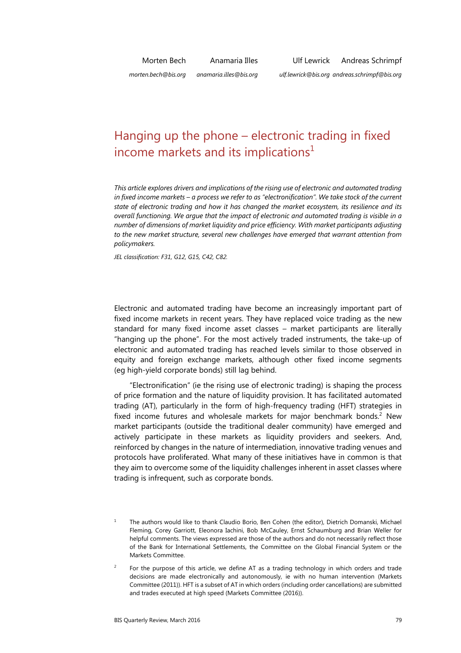# Hanging up the phone – electronic trading in fixed income markets and its implications $1$

*This article explores drivers and implications of the rising use of electronic and automated trading in fixed income markets – a process we refer to as "electronification". We take stock of the current state of electronic trading and how it has changed the market ecosystem, its resilience and its overall functioning. We argue that the impact of electronic and automated trading is visible in a number of dimensions of market liquidity and price efficiency. With market participants adjusting to the new market structure, several new challenges have emerged that warrant attention from policymakers.* 

*JEL classification: F31, G12, G15, C42, C82.* 

Electronic and automated trading have become an increasingly important part of fixed income markets in recent years. They have replaced voice trading as the new standard for many fixed income asset classes – market participants are literally "hanging up the phone". For the most actively traded instruments, the take-up of electronic and automated trading has reached levels similar to those observed in equity and foreign exchange markets, although other fixed income segments (eg high-yield corporate bonds) still lag behind.

"Electronification" (ie the rising use of electronic trading) is shaping the process of price formation and the nature of liquidity provision. It has facilitated automated trading (AT), particularly in the form of high-frequency trading (HFT) strategies in fixed income futures and wholesale markets for major benchmark bonds.<sup>2</sup> New market participants (outside the traditional dealer community) have emerged and actively participate in these markets as liquidity providers and seekers. And, reinforced by changes in the nature of intermediation, innovative trading venues and protocols have proliferated. What many of these initiatives have in common is that they aim to overcome some of the liquidity challenges inherent in asset classes where trading is infrequent, such as corporate bonds.

<sup>1</sup> The authors would like to thank Claudio Borio, Ben Cohen (the editor), Dietrich Domanski, Michael Fleming, Corey Garriott, Eleonora Iachini, Bob McCauley, Ernst Schaumburg and Brian Weller for helpful comments. The views expressed are those of the authors and do not necessarily reflect those of the Bank for International Settlements, the Committee on the Global Financial System or the Markets Committee.

 $\overline{2}$  For the purpose of this article, we define AT as a trading technology in which orders and trade decisions are made electronically and autonomously, ie with no human intervention (Markets Committee (2011)). HFT is a subset of AT in which orders (including order cancellations) are submitted and trades executed at high speed (Markets Committee (2016)).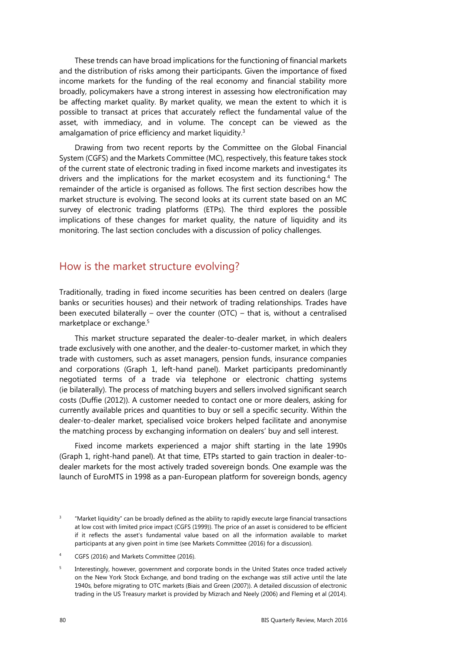These trends can have broad implications for the functioning of financial markets and the distribution of risks among their participants. Given the importance of fixed income markets for the funding of the real economy and financial stability more broadly, policymakers have a strong interest in assessing how electronification may be affecting market quality. By market quality, we mean the extent to which it is possible to transact at prices that accurately reflect the fundamental value of the asset, with immediacy, and in volume. The concept can be viewed as the amalgamation of price efficiency and market liquidity.<sup>3</sup>

Drawing from two recent reports by the Committee on the Global Financial System (CGFS) and the Markets Committee (MC), respectively, this feature takes stock of the current state of electronic trading in fixed income markets and investigates its drivers and the implications for the market ecosystem and its functioning.<sup>4</sup> The remainder of the article is organised as follows. The first section describes how the market structure is evolving. The second looks at its current state based on an MC survey of electronic trading platforms (ETPs). The third explores the possible implications of these changes for market quality, the nature of liquidity and its monitoring. The last section concludes with a discussion of policy challenges.

## How is the market structure evolving?

Traditionally, trading in fixed income securities has been centred on dealers (large banks or securities houses) and their network of trading relationships. Trades have been executed bilaterally – over the counter (OTC) – that is, without a centralised marketplace or exchange.<sup>5</sup>

This market structure separated the dealer-to-dealer market, in which dealers trade exclusively with one another, and the dealer-to-customer market, in which they trade with customers, such as asset managers, pension funds, insurance companies and corporations (Graph 1, left-hand panel). Market participants predominantly negotiated terms of a trade via telephone or electronic chatting systems (ie bilaterally). The process of matching buyers and sellers involved significant search costs (Duffie (2012)). A customer needed to contact one or more dealers, asking for currently available prices and quantities to buy or sell a specific security. Within the dealer-to-dealer market, specialised voice brokers helped facilitate and anonymise the matching process by exchanging information on dealers' buy and sell interest.

Fixed income markets experienced a major shift starting in the late 1990s (Graph 1, right-hand panel). At that time, ETPs started to gain traction in dealer-todealer markets for the most actively traded sovereign bonds. One example was the launch of EuroMTS in 1998 as a pan-European platform for sovereign bonds, agency

<sup>3</sup> "Market liquidity" can be broadly defined as the ability to rapidly execute large financial transactions at low cost with limited price impact (CGFS (1999)). The price of an asset is considered to be efficient if it reflects the asset's fundamental value based on all the information available to market participants at any given point in time (see Markets Committee (2016) for a discussion).

<sup>4</sup> CGFS (2016) and Markets Committee (2016).

<sup>5</sup> Interestingly, however, government and corporate bonds in the United States once traded actively on the New York Stock Exchange, and bond trading on the exchange was still active until the late 1940s, before migrating to OTC markets (Biais and Green (2007)). A detailed discussion of electronic trading in the US Treasury market is provided by Mizrach and Neely (2006) and Fleming et al (2014).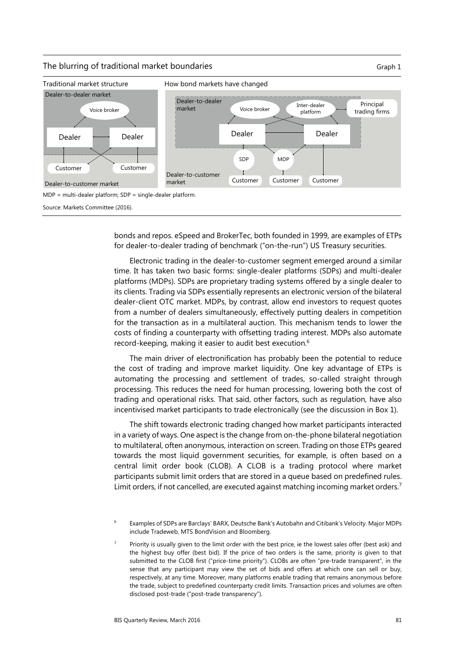#### The blurring of traditional market boundaries The blurring of traditional market boundaries



bonds and repos. eSpeed and BrokerTec, both founded in 1999, are examples of ETPs for dealer-to-dealer trading of benchmark ("on-the-run") US Treasury securities.

Electronic trading in the dealer-to-customer segment emerged around a similar time. It has taken two basic forms: single-dealer platforms (SDPs) and multi-dealer platforms (MDPs). SDPs are proprietary trading systems offered by a single dealer to its clients. Trading via SDPs essentially represents an electronic version of the bilateral dealer-client OTC market. MDPs, by contrast, allow end investors to request quotes from a number of dealers simultaneously, effectively putting dealers in competition for the transaction as in a multilateral auction. This mechanism tends to lower the costs of finding a counterparty with offsetting trading interest. MDPs also automate record-keeping, making it easier to audit best execution.6

The main driver of electronification has probably been the potential to reduce the cost of trading and improve market liquidity. One key advantage of ETPs is automating the processing and settlement of trades, so-called straight through processing. This reduces the need for human processing, lowering both the cost of trading and operational risks. That said, other factors, such as regulation, have also incentivised market participants to trade electronically (see the discussion in Box 1).

The shift towards electronic trading changed how market participants interacted in a variety of ways. One aspect is the change from on-the-phone bilateral negotiation to multilateral, often anonymous, interaction on screen. Trading on those ETPs geared towards the most liquid government securities, for example, is often based on a central limit order book (CLOB). A CLOB is a trading protocol where market participants submit limit orders that are stored in a queue based on predefined rules. Limit orders, if not cancelled, are executed against matching incoming market orders.<sup>7</sup>

6 Examples of SDPs are Barclays' BARX, Deutsche Bank's Autobahn and Citibank's Velocity. Major MDPs include Tradeweb, MTS BondVision and Bloomberg.

7 Priority is usually given to the limit order with the best price, ie the lowest sales offer (best ask) and the highest buy offer (best bid). If the price of two orders is the same, priority is given to that submitted to the CLOB first ("price-time priority"). CLOBs are often "pre-trade transparent", in the sense that any participant may view the set of bids and offers at which one can sell or buy, respectively, at any time. Moreover, many platforms enable trading that remains anonymous before the trade, subject to predefined counterparty credit limits. Transaction prices and volumes are often disclosed post-trade ("post-trade transparency").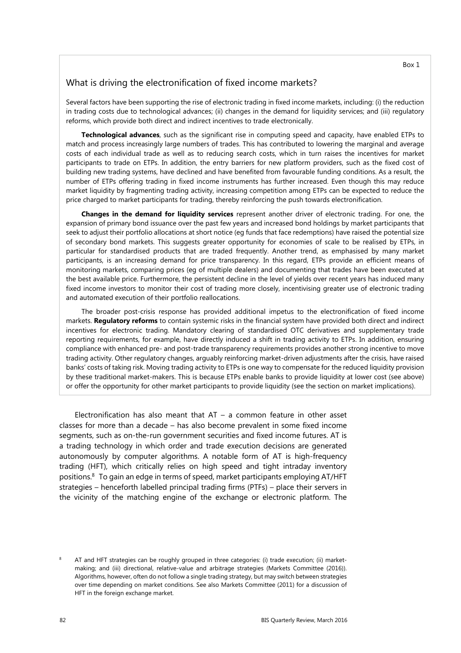## What is driving the electronification of fixed income markets?

Several factors have been supporting the rise of electronic trading in fixed income markets, including: (i) the reduction in trading costs due to technological advances; (ii) changes in the demand for liquidity services; and (iii) regulatory reforms, which provide both direct and indirect incentives to trade electronically.

**Technological advances**, such as the significant rise in computing speed and capacity, have enabled ETPs to match and process increasingly large numbers of trades. This has contributed to lowering the marginal and average costs of each individual trade as well as to reducing search costs, which in turn raises the incentives for market participants to trade on ETPs. In addition, the entry barriers for new platform providers, such as the fixed cost of building new trading systems, have declined and have benefited from favourable funding conditions. As a result, the number of ETPs offering trading in fixed income instruments has further increased. Even though this may reduce market liquidity by fragmenting trading activity, increasing competition among ETPs can be expected to reduce the price charged to market participants for trading, thereby reinforcing the push towards electronification.

**Changes in the demand for liquidity services** represent another driver of electronic trading. For one, the expansion of primary bond issuance over the past few years and increased bond holdings by market participants that seek to adjust their portfolio allocations at short notice (eg funds that face redemptions) have raised the potential size of secondary bond markets. This suggests greater opportunity for economies of scale to be realised by ETPs, in particular for standardised products that are traded frequently. Another trend, as emphasised by many market participants, is an increasing demand for price transparency. In this regard, ETPs provide an efficient means of monitoring markets, comparing prices (eg of multiple dealers) and documenting that trades have been executed at the best available price. Furthermore, the persistent decline in the level of yields over recent years has induced many fixed income investors to monitor their cost of trading more closely, incentivising greater use of electronic trading and automated execution of their portfolio reallocations.

The broader post-crisis response has provided additional impetus to the electronification of fixed income markets. **Regulatory reforms** to contain systemic risks in the financial system have provided both direct and indirect incentives for electronic trading. Mandatory clearing of standardised OTC derivatives and supplementary trade reporting requirements, for example, have directly induced a shift in trading activity to ETPs. In addition, ensuring compliance with enhanced pre- and post-trade transparency requirements provides another strong incentive to move trading activity. Other regulatory changes, arguably reinforcing market-driven adjustments after the crisis, have raised banks' costs of taking risk. Moving trading activity to ETPs is one way to compensate for the reduced liquidity provision by these traditional market-makers. This is because ETPs enable banks to provide liquidity at lower cost (see above) or offer the opportunity for other market participants to provide liquidity (see the section on market implications).

Electronification has also meant that  $AT - a$  common feature in other asset classes for more than a decade – has also become prevalent in some fixed income segments, such as on-the-run government securities and fixed income futures. AT is a trading technology in which order and trade execution decisions are generated autonomously by computer algorithms. A notable form of AT is high-frequency trading (HFT), which critically relies on high speed and tight intraday inventory positions.8 To gain an edge in terms of speed, market participants employing AT/HFT strategies – henceforth labelled principal trading firms (PTFs) – place their servers in the vicinity of the matching engine of the exchange or electronic platform. The

<sup>8</sup> AT and HFT strategies can be roughly grouped in three categories: (i) trade execution; (ii) marketmaking; and (iii) directional, relative-value and arbitrage strategies (Markets Committee (2016)). Algorithms, however, often do not follow a single trading strategy, but may switch between strategies over time depending on market conditions. See also Markets Committee (2011) for a discussion of HFT in the foreign exchange market.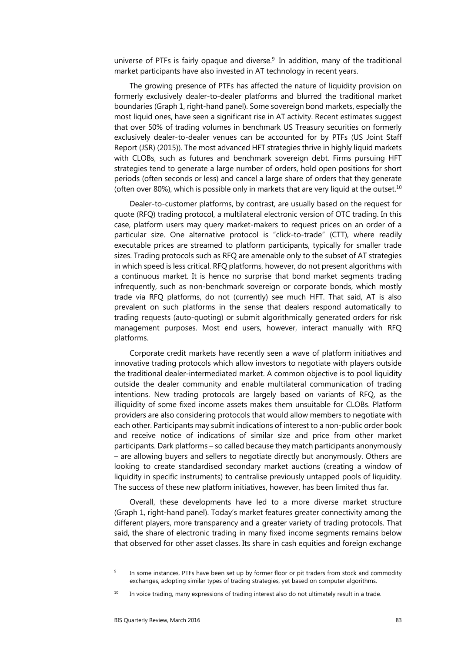universe of PTFs is fairly opaque and diverse. $9$  In addition, many of the traditional market participants have also invested in AT technology in recent years.

The growing presence of PTFs has affected the nature of liquidity provision on formerly exclusively dealer-to-dealer platforms and blurred the traditional market boundaries (Graph 1, right-hand panel). Some sovereign bond markets, especially the most liquid ones, have seen a significant rise in AT activity. Recent estimates suggest that over 50% of trading volumes in benchmark US Treasury securities on formerly exclusively dealer-to-dealer venues can be accounted for by PTFs (US Joint Staff Report (JSR) (2015)). The most advanced HFT strategies thrive in highly liquid markets with CLOBs, such as futures and benchmark sovereign debt. Firms pursuing HFT strategies tend to generate a large number of orders, hold open positions for short periods (often seconds or less) and cancel a large share of orders that they generate (often over 80%), which is possible only in markets that are very liquid at the outset.<sup>10</sup>

Dealer-to-customer platforms, by contrast, are usually based on the request for quote (RFQ) trading protocol, a multilateral electronic version of OTC trading. In this case, platform users may query market-makers to request prices on an order of a particular size. One alternative protocol is "click-to-trade" (CTT), where readily executable prices are streamed to platform participants, typically for smaller trade sizes. Trading protocols such as RFQ are amenable only to the subset of AT strategies in which speed is less critical. RFQ platforms, however, do not present algorithms with a continuous market. It is hence no surprise that bond market segments trading infrequently, such as non-benchmark sovereign or corporate bonds, which mostly trade via RFQ platforms, do not (currently) see much HFT. That said, AT is also prevalent on such platforms in the sense that dealers respond automatically to trading requests (auto-quoting) or submit algorithmically generated orders for risk management purposes. Most end users, however, interact manually with RFQ platforms.

Corporate credit markets have recently seen a wave of platform initiatives and innovative trading protocols which allow investors to negotiate with players outside the traditional dealer-intermediated market. A common objective is to pool liquidity outside the dealer community and enable multilateral communication of trading intentions. New trading protocols are largely based on variants of RFQ, as the illiquidity of some fixed income assets makes them unsuitable for CLOBs. Platform providers are also considering protocols that would allow members to negotiate with each other. Participants may submit indications of interest to a non-public order book and receive notice of indications of similar size and price from other market participants. Dark platforms – so called because they match participants anonymously – are allowing buyers and sellers to negotiate directly but anonymously. Others are looking to create standardised secondary market auctions (creating a window of liquidity in specific instruments) to centralise previously untapped pools of liquidity. The success of these new platform initiatives, however, has been limited thus far.

Overall, these developments have led to a more diverse market structure (Graph 1, right-hand panel). Today's market features greater connectivity among the different players, more transparency and a greater variety of trading protocols. That said, the share of electronic trading in many fixed income segments remains below that observed for other asset classes. Its share in cash equities and foreign exchange

<sup>9</sup> In some instances, PTFs have been set up by former floor or pit traders from stock and commodity exchanges, adopting similar types of trading strategies, yet based on computer algorithms.

 $10$  In voice trading, many expressions of trading interest also do not ultimately result in a trade.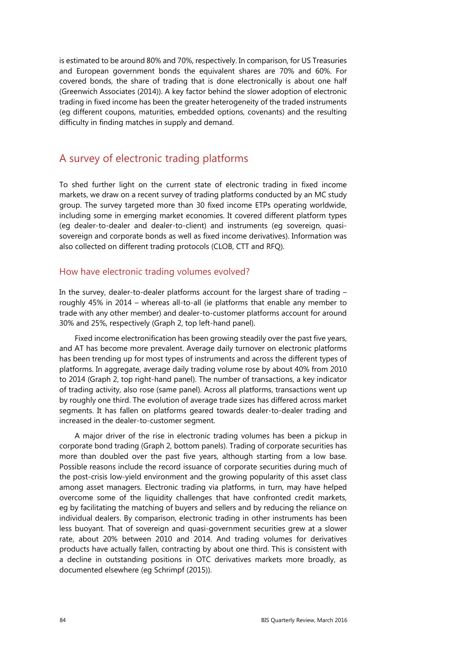is estimated to be around 80% and 70%, respectively. In comparison, for US Treasuries and European government bonds the equivalent shares are 70% and 60%. For covered bonds, the share of trading that is done electronically is about one half (Greenwich Associates (2014)). A key factor behind the slower adoption of electronic trading in fixed income has been the greater heterogeneity of the traded instruments (eg different coupons, maturities, embedded options, covenants) and the resulting difficulty in finding matches in supply and demand.

# A survey of electronic trading platforms

To shed further light on the current state of electronic trading in fixed income markets, we draw on a recent survey of trading platforms conducted by an MC study group. The survey targeted more than 30 fixed income ETPs operating worldwide, including some in emerging market economies. It covered different platform types (eg dealer-to-dealer and dealer-to-client) and instruments (eg sovereign, quasisovereign and corporate bonds as well as fixed income derivatives). Information was also collected on different trading protocols (CLOB, CTT and RFQ).

#### How have electronic trading volumes evolved?

In the survey, dealer-to-dealer platforms account for the largest share of trading – roughly 45% in 2014 – whereas all-to-all (ie platforms that enable any member to trade with any other member) and dealer-to-customer platforms account for around 30% and 25%, respectively (Graph 2, top left-hand panel).

Fixed income electronification has been growing steadily over the past five years, and AT has become more prevalent. Average daily turnover on electronic platforms has been trending up for most types of instruments and across the different types of platforms. In aggregate, average daily trading volume rose by about 40% from 2010 to 2014 (Graph 2, top right-hand panel). The number of transactions, a key indicator of trading activity, also rose (same panel). Across all platforms, transactions went up by roughly one third. The evolution of average trade sizes has differed across market segments. It has fallen on platforms geared towards dealer-to-dealer trading and increased in the dealer-to-customer segment.

A major driver of the rise in electronic trading volumes has been a pickup in corporate bond trading (Graph 2, bottom panels). Trading of corporate securities has more than doubled over the past five years, although starting from a low base. Possible reasons include the record issuance of corporate securities during much of the post-crisis low-yield environment and the growing popularity of this asset class among asset managers. Electronic trading via platforms, in turn, may have helped overcome some of the liquidity challenges that have confronted credit markets, eg by facilitating the matching of buyers and sellers and by reducing the reliance on individual dealers. By comparison, electronic trading in other instruments has been less buoyant. That of sovereign and quasi-government securities grew at a slower rate, about 20% between 2010 and 2014. And trading volumes for derivatives products have actually fallen, contracting by about one third. This is consistent with a decline in outstanding positions in OTC derivatives markets more broadly, as documented elsewhere (eg Schrimpf (2015)).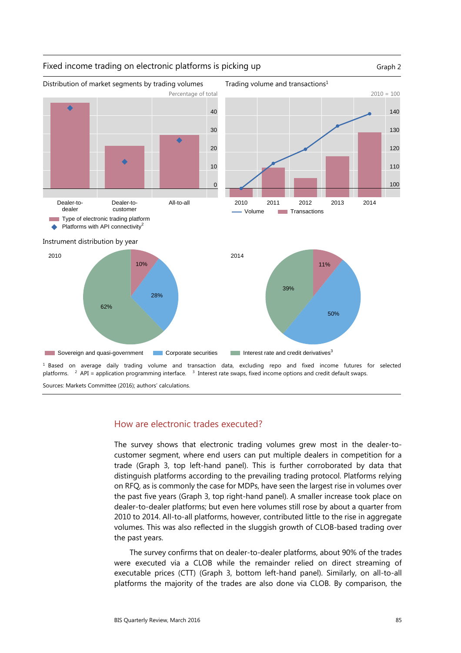

#### How are electronic trades executed?

The survey shows that electronic trading volumes grew most in the dealer-tocustomer segment, where end users can put multiple dealers in competition for a trade (Graph 3, top left-hand panel). This is further corroborated by data that distinguish platforms according to the prevailing trading protocol. Platforms relying on RFQ, as is commonly the case for MDPs, have seen the largest rise in volumes over the past five years (Graph 3, top right-hand panel). A smaller increase took place on dealer-to-dealer platforms; but even here volumes still rose by about a quarter from 2010 to 2014. All-to-all platforms, however, contributed little to the rise in aggregate volumes. This was also reflected in the sluggish growth of CLOB-based trading over the past years.

The survey confirms that on dealer-to-dealer platforms, about 90% of the trades were executed via a CLOB while the remainder relied on direct streaming of executable prices (CTT) (Graph 3, bottom left-hand panel). Similarly, on all-to-all platforms the majority of the trades are also done via CLOB. By comparison, the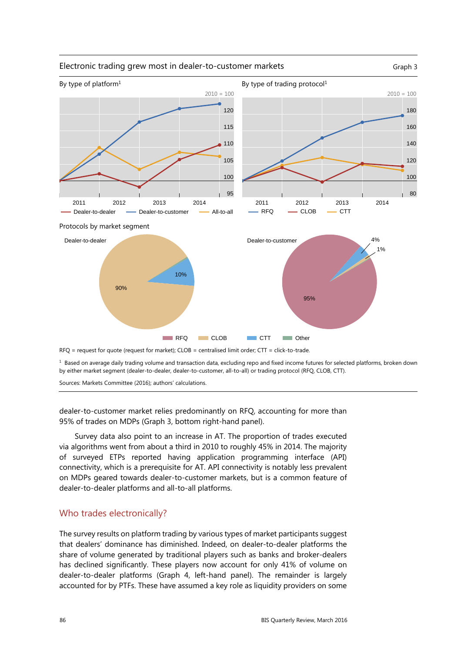

<sup>1</sup> Based on average daily trading volume and transaction data, excluding repo and fixed income futures for selected platforms, broken down by either market segment (dealer-to-dealer, dealer-to-customer, all-to-all) or trading protocol (RFQ, CLOB, CTT).

Sources: Markets Committee (2016); authors' calculations.

dealer-to-customer market relies predominantly on RFQ, accounting for more than 95% of trades on MDPs (Graph 3, bottom right-hand panel).

Survey data also point to an increase in AT. The proportion of trades executed via algorithms went from about a third in 2010 to roughly 45% in 2014. The majority of surveyed ETPs reported having application programming interface (API) connectivity, which is a prerequisite for AT. API connectivity is notably less prevalent on MDPs geared towards dealer-to-customer markets, but is a common feature of dealer-to-dealer platforms and all-to-all platforms.

#### Who trades electronically?

The survey results on platform trading by various types of market participants suggest that dealers' dominance has diminished. Indeed, on dealer-to-dealer platforms the share of volume generated by traditional players such as banks and broker-dealers has declined significantly. These players now account for only 41% of volume on dealer-to-dealer platforms (Graph 4, left-hand panel). The remainder is largely accounted for by PTFs. These have assumed a key role as liquidity providers on some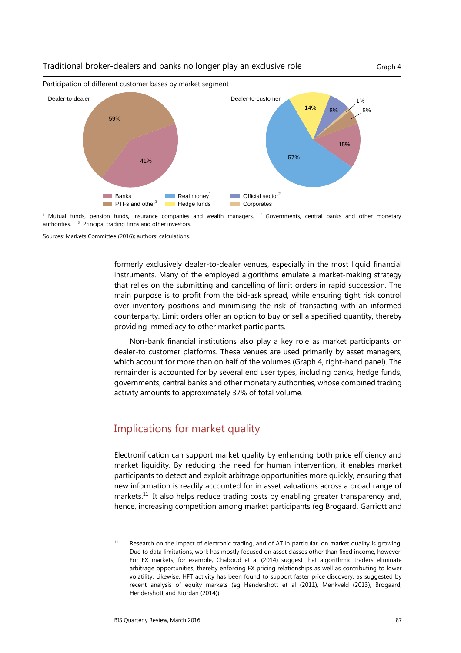#### Traditional broker-dealers and banks no longer play an exclusive role Graph 4





 $1$  Mutual funds, pension funds, insurance companies and wealth managers.  $2$  Governments, central banks and other monetary authorities. 3 Principal trading firms and other investors.

Sources: Markets Committee (2016); authors' calculations.

formerly exclusively dealer-to-dealer venues, especially in the most liquid financial instruments. Many of the employed algorithms emulate a market-making strategy that relies on the submitting and cancelling of limit orders in rapid succession. The main purpose is to profit from the bid-ask spread, while ensuring tight risk control over inventory positions and minimising the risk of transacting with an informed counterparty. Limit orders offer an option to buy or sell a specified quantity, thereby providing immediacy to other market participants.

Non-bank financial institutions also play a key role as market participants on dealer-to customer platforms. These venues are used primarily by asset managers, which account for more than on half of the volumes (Graph 4, right-hand panel). The remainder is accounted for by several end user types, including banks, hedge funds, governments, central banks and other monetary authorities, whose combined trading activity amounts to approximately 37% of total volume.

# Implications for market quality

Electronification can support market quality by enhancing both price efficiency and market liquidity. By reducing the need for human intervention, it enables market participants to detect and exploit arbitrage opportunities more quickly, ensuring that new information is readily accounted for in asset valuations across a broad range of markets.<sup>11</sup> It also helps reduce trading costs by enabling greater transparency and, hence, increasing competition among market participants (eg Brogaard, Garriott and

<sup>&</sup>lt;sup>11</sup> Research on the impact of electronic trading, and of AT in particular, on market quality is growing. Due to data limitations, work has mostly focused on asset classes other than fixed income, however. For FX markets, for example, Chaboud et al (2014) suggest that algorithmic traders eliminate arbitrage opportunities, thereby enforcing FX pricing relationships as well as contributing to lower volatility. Likewise, HFT activity has been found to support faster price discovery, as suggested by recent analysis of equity markets (eg Hendershott et al (2011), Menkveld (2013), Brogaard, Hendershott and Riordan (2014)).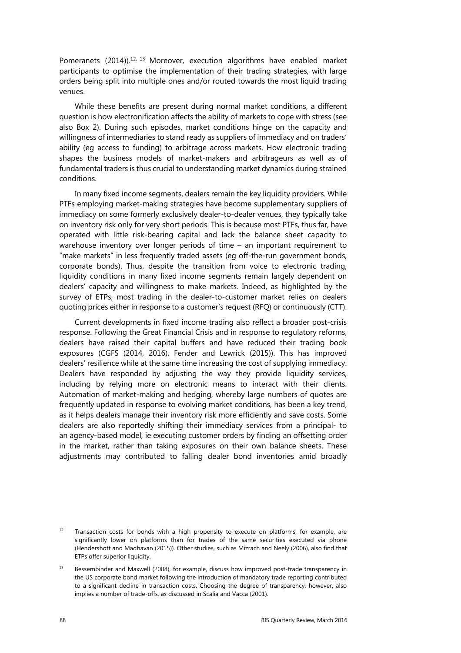Pomeranets (2014)).<sup>12, 13</sup> Moreover, execution algorithms have enabled market participants to optimise the implementation of their trading strategies, with large orders being split into multiple ones and/or routed towards the most liquid trading venues.

While these benefits are present during normal market conditions, a different question is how electronification affects the ability of markets to cope with stress (see also Box 2). During such episodes, market conditions hinge on the capacity and willingness of intermediaries to stand ready as suppliers of immediacy and on traders' ability (eg access to funding) to arbitrage across markets. How electronic trading shapes the business models of market-makers and arbitrageurs as well as of fundamental traders is thus crucial to understanding market dynamics during strained conditions.

In many fixed income segments, dealers remain the key liquidity providers. While PTFs employing market-making strategies have become supplementary suppliers of immediacy on some formerly exclusively dealer-to-dealer venues, they typically take on inventory risk only for very short periods. This is because most PTFs, thus far, have operated with little risk-bearing capital and lack the balance sheet capacity to warehouse inventory over longer periods of time – an important requirement to "make markets" in less frequently traded assets (eg off-the-run government bonds, corporate bonds). Thus, despite the transition from voice to electronic trading, liquidity conditions in many fixed income segments remain largely dependent on dealers' capacity and willingness to make markets. Indeed, as highlighted by the survey of ETPs, most trading in the dealer-to-customer market relies on dealers quoting prices either in response to a customer's request (RFQ) or continuously (CTT).

Current developments in fixed income trading also reflect a broader post-crisis response. Following the Great Financial Crisis and in response to regulatory reforms, dealers have raised their capital buffers and have reduced their trading book exposures (CGFS (2014, 2016), Fender and Lewrick (2015)). This has improved dealers' resilience while at the same time increasing the cost of supplying immediacy. Dealers have responded by adjusting the way they provide liquidity services, including by relying more on electronic means to interact with their clients. Automation of market-making and hedging, whereby large numbers of quotes are frequently updated in response to evolving market conditions, has been a key trend, as it helps dealers manage their inventory risk more efficiently and save costs. Some dealers are also reportedly shifting their immediacy services from a principal- to an agency-based model, ie executing customer orders by finding an offsetting order in the market, rather than taking exposures on their own balance sheets. These adjustments may contributed to falling dealer bond inventories amid broadly

 $12$  Transaction costs for bonds with a high propensity to execute on platforms, for example, are significantly lower on platforms than for trades of the same securities executed via phone (Hendershott and Madhavan (2015)). Other studies, such as Mizrach and Neely (2006), also find that ETPs offer superior liquidity.

 $13$  Bessembinder and Maxwell (2008), for example, discuss how improved post-trade transparency in the US corporate bond market following the introduction of mandatory trade reporting contributed to a significant decline in transaction costs. Choosing the degree of transparency, however, also implies a number of trade-offs, as discussed in Scalia and Vacca (2001).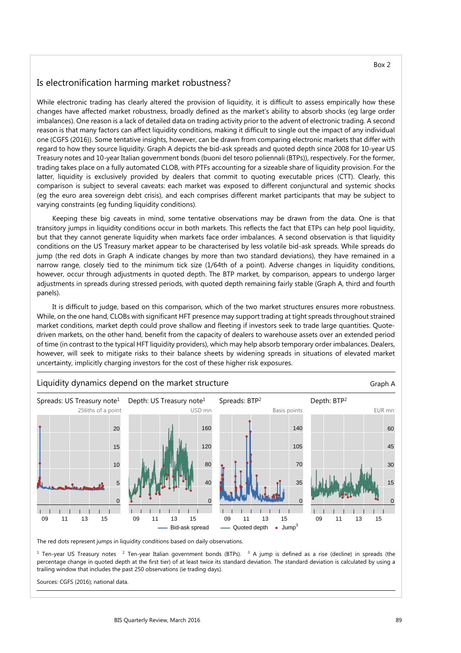## Is electronification harming market robustness?

While electronic trading has clearly altered the provision of liquidity, it is difficult to assess empirically how these changes have affected market robustness, broadly defined as the market's ability to absorb shocks (eg large order imbalances). One reason is a lack of detailed data on trading activity prior to the advent of electronic trading. A second reason is that many factors can affect liquidity conditions, making it difficult to single out the impact of any individual one (CGFS (2016)). Some tentative insights, however, can be drawn from comparing electronic markets that differ with regard to how they source liquidity. Graph A depicts the bid-ask spreads and quoted depth since 2008 for 10-year US Treasury notes and 10-year Italian government bonds (buoni del tesoro poliennali (BTPs)), respectively. For the former, trading takes place on a fully automated CLOB, with PTFs accounting for a sizeable share of liquidity provision. For the latter, liquidity is exclusively provided by dealers that commit to quoting executable prices (CTT). Clearly, this comparison is subject to several caveats: each market was exposed to different conjunctural and systemic shocks (eg the euro area sovereign debt crisis), and each comprises different market participants that may be subject to varying constraints (eg funding liquidity conditions).

Keeping these big caveats in mind, some tentative observations may be drawn from the data. One is that transitory jumps in liquidity conditions occur in both markets. This reflects the fact that ETPs can help pool liquidity, but that they cannot generate liquidity when markets face order imbalances. A second observation is that liquidity conditions on the US Treasury market appear to be characterised by less volatile bid-ask spreads. While spreads do jump (the red dots in Graph A indicate changes by more than two standard deviations), they have remained in a narrow range, closely tied to the minimum tick size (1/64th of a point). Adverse changes in liquidity conditions, however, occur through adjustments in quoted depth. The BTP market, by comparison, appears to undergo larger adjustments in spreads during stressed periods, with quoted depth remaining fairly stable (Graph A, third and fourth panels).

It is difficult to judge, based on this comparison, which of the two market structures ensures more robustness. While, on the one hand, CLOBs with significant HFT presence may support trading at tight spreads throughout strained market conditions, market depth could prove shallow and fleeting if investors seek to trade large quantities. Quotedriven markets, on the other hand, benefit from the capacity of dealers to warehouse assets over an extended period of time (in contrast to the typical HFT liquidity providers), which may help absorb temporary order imbalances. Dealers, however, will seek to mitigate risks to their balance sheets by widening spreads in situations of elevated market uncertainty, implicitly charging investors for the cost of these higher risk exposures.



The red dots represent jumps in liquidity conditions based on daily observations.

<sup>1</sup> Ten-year US Treasury notes <sup>2</sup> Ten-year Italian government bonds (BTPs). <sup>3</sup> A jump is defined as a rise (decline) in spreads (the percentage change in quoted depth at the first tier) of at least twice its standard deviation. The standard deviation is calculated by using a trailing window that includes the past 250 observations (ie trading days).

Sources: CGFS (2016); national data.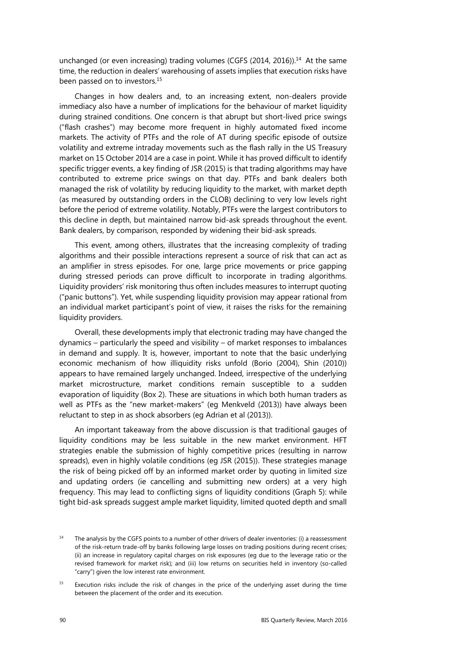unchanged (or even increasing) trading volumes (CGFS (2014, 2016)).<sup>14</sup> At the same time, the reduction in dealers' warehousing of assets implies that execution risks have been passed on to investors.<sup>15</sup>

Changes in how dealers and, to an increasing extent, non-dealers provide immediacy also have a number of implications for the behaviour of market liquidity during strained conditions. One concern is that abrupt but short-lived price swings ("flash crashes") may become more frequent in highly automated fixed income markets. The activity of PTFs and the role of AT during specific episode of outsize volatility and extreme intraday movements such as the flash rally in the US Treasury market on 15 October 2014 are a case in point. While it has proved difficult to identify specific trigger events, a key finding of JSR (2015) is that trading algorithms may have contributed to extreme price swings on that day. PTFs and bank dealers both managed the risk of volatility by reducing liquidity to the market, with market depth (as measured by outstanding orders in the CLOB) declining to very low levels right before the period of extreme volatility. Notably, PTFs were the largest contributors to this decline in depth, but maintained narrow bid-ask spreads throughout the event. Bank dealers, by comparison, responded by widening their bid-ask spreads.

This event, among others, illustrates that the increasing complexity of trading algorithms and their possible interactions represent a source of risk that can act as an amplifier in stress episodes. For one, large price movements or price gapping during stressed periods can prove difficult to incorporate in trading algorithms. Liquidity providers' risk monitoring thus often includes measures to interrupt quoting ("panic buttons"). Yet, while suspending liquidity provision may appear rational from an individual market participant's point of view, it raises the risks for the remaining liquidity providers.

Overall, these developments imply that electronic trading may have changed the dynamics – particularly the speed and visibility – of market responses to imbalances in demand and supply. It is, however, important to note that the basic underlying economic mechanism of how illiquidity risks unfold (Borio (2004), Shin (2010)) appears to have remained largely unchanged. Indeed, irrespective of the underlying market microstructure, market conditions remain susceptible to a sudden evaporation of liquidity (Box 2). These are situations in which both human traders as well as PTFs as the "new market-makers" (eg Menkveld (2013)) have always been reluctant to step in as shock absorbers (eg Adrian et al (2013)).

An important takeaway from the above discussion is that traditional gauges of liquidity conditions may be less suitable in the new market environment. HFT strategies enable the submission of highly competitive prices (resulting in narrow spreads), even in highly volatile conditions (eg JSR (2015)). These strategies manage the risk of being picked off by an informed market order by quoting in limited size and updating orders (ie cancelling and submitting new orders) at a very high frequency. This may lead to conflicting signs of liquidity conditions (Graph 5): while tight bid-ask spreads suggest ample market liquidity, limited quoted depth and small

 $14$  The analysis by the CGFS points to a number of other drivers of dealer inventories: (i) a reassessment of the risk-return trade-off by banks following large losses on trading positions during recent crises; (ii) an increase in regulatory capital charges on risk exposures (eg due to the leverage ratio or the revised framework for market risk); and (iii) low returns on securities held in inventory (so-called "carry") given the low interest rate environment.

<sup>&</sup>lt;sup>15</sup> Execution risks include the risk of changes in the price of the underlying asset during the time between the placement of the order and its execution.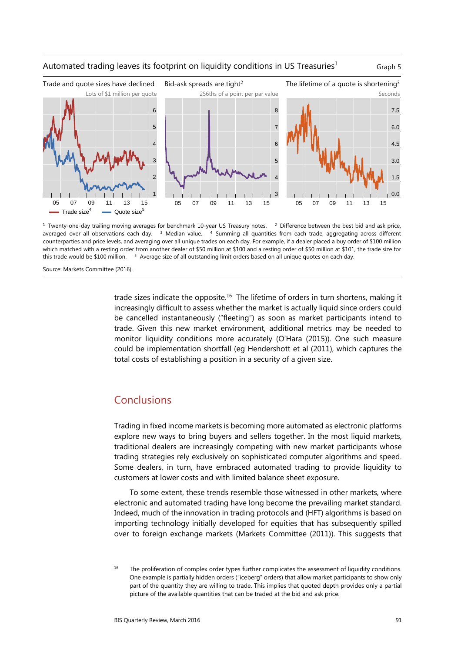

#### Automated trading leaves its footprint on liquidity conditions in US Treasuries<sup>1</sup> Graph 5

 $1$  Twenty-one-day trailing moving averages for benchmark 10-year US Treasury notes.  $2$  Difference between the best bid and ask price, averaged over all observations each day. <sup>3</sup> Median value. <sup>4</sup> Summing all quantities from each trade, aggregating across different counterparties and price levels, and averaging over all unique trades on each day. For example, if a dealer placed a buy order of \$100 million which matched with a resting order from another dealer of \$50 million at \$100 and a resting order of \$50 million at \$101, the trade size for this trade would be \$100 million. <sup>5</sup> Average size of all outstanding limit orders based on all unique quotes on each day.

Source: Markets Committee (2016).

trade sizes indicate the opposite.<sup>16</sup> The lifetime of orders in turn shortens, making it increasingly difficult to assess whether the market is actually liquid since orders could be cancelled instantaneously ("fleeting") as soon as market participants intend to trade. Given this new market environment, additional metrics may be needed to monitor liquidity conditions more accurately (O'Hara (2015)). One such measure could be implementation shortfall (eg Hendershott et al (2011), which captures the total costs of establishing a position in a security of a given size.

# Conclusions

Trading in fixed income markets is becoming more automated as electronic platforms explore new ways to bring buyers and sellers together. In the most liquid markets, traditional dealers are increasingly competing with new market participants whose trading strategies rely exclusively on sophisticated computer algorithms and speed. Some dealers, in turn, have embraced automated trading to provide liquidity to customers at lower costs and with limited balance sheet exposure.

To some extent, these trends resemble those witnessed in other markets, where electronic and automated trading have long become the prevailing market standard. Indeed, much of the innovation in trading protocols and (HFT) algorithms is based on importing technology initially developed for equities that has subsequently spilled over to foreign exchange markets (Markets Committee (2011)). This suggests that

The proliferation of complex order types further complicates the assessment of liquidity conditions. One example is partially hidden orders ("iceberg" orders) that allow market participants to show only part of the quantity they are willing to trade. This implies that quoted depth provides only a partial picture of the available quantities that can be traded at the bid and ask price.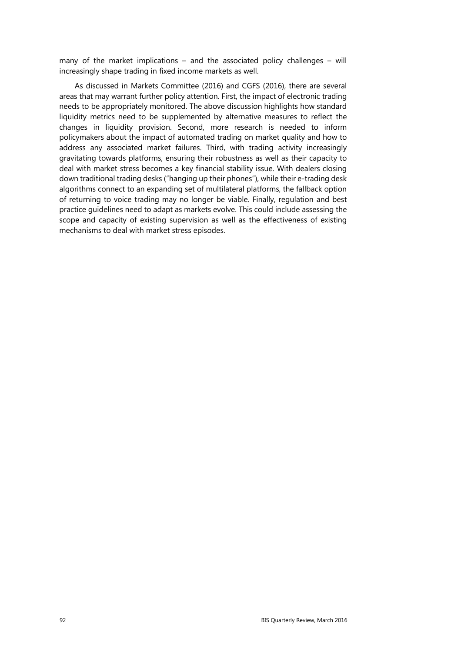many of the market implications – and the associated policy challenges – will increasingly shape trading in fixed income markets as well.

As discussed in Markets Committee (2016) and CGFS (2016), there are several areas that may warrant further policy attention. First, the impact of electronic trading needs to be appropriately monitored. The above discussion highlights how standard liquidity metrics need to be supplemented by alternative measures to reflect the changes in liquidity provision. Second, more research is needed to inform policymakers about the impact of automated trading on market quality and how to address any associated market failures. Third, with trading activity increasingly gravitating towards platforms, ensuring their robustness as well as their capacity to deal with market stress becomes a key financial stability issue. With dealers closing down traditional trading desks ("hanging up their phones"), while their e-trading desk algorithms connect to an expanding set of multilateral platforms, the fallback option of returning to voice trading may no longer be viable. Finally, regulation and best practice guidelines need to adapt as markets evolve. This could include assessing the scope and capacity of existing supervision as well as the effectiveness of existing mechanisms to deal with market stress episodes.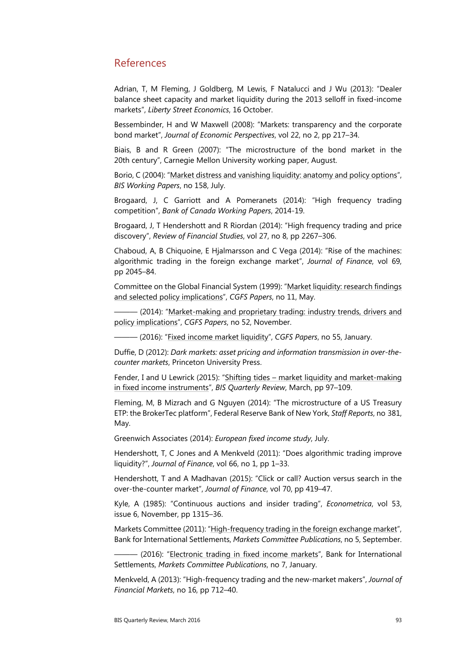## References

Adrian, T, M Fleming, J Goldberg, M Lewis, F Natalucci and J Wu (2013): "Dealer balance sheet capacity and market liquidity during the 2013 selloff in fixed-income markets", *Liberty Street Economics*, 16 October.

Bessembinder, H and W Maxwell (2008): "Markets: transparency and the corporate bond market", *Journal of Economic Perspectives*, vol 22, no 2, pp 217–34.

Biais, B and R Green (2007): "The microstructure of the bond market in the 20th century", Carnegie Mellon University working paper, August.

Borio, C (2004): "[Market distress and vanishing liquidity: anatomy and policy options"](http://www.bis.org/publ/work158.htm), *BIS Working Papers*, no 158, July.

Brogaard, J, C Garriott and A Pomeranets (2014): "High frequency trading competition", *Bank of Canada Working Papers*, 2014-19.

Brogaard, J, T Hendershott and R Riordan (2014): "High frequency trading and price discovery", *Review of Financial Studies*, vol 27, no 8, pp 2267–306.

Chaboud, A, B Chiquoine, E Hjalmarsson and C Vega (2014): "Rise of the machines: algorithmic trading in the foreign exchange market", *Journal of Finance*, vol 69, pp 2045–84.

Committee on the Global Financial System (1999): ["Market liquidity: research findings](http://www.bis.org/publ/cgfs11.htm)  [and selected policy implications"](http://www.bis.org/publ/cgfs11.htm), *CGFS Papers*, no 11, May.

- (2014): "Market-making and proprietary trading: industry trends, drivers and [policy implications"](http://www.bis.org/publ/cgfs52.htm), *CGFS Papers*, no 52, November.

——— (2016): ["Fixed income market liquidity"](http://www.bis.org/publ/cgfs55.htm), *CGFS Papers*, no 55, January.

Duffie, D (2012): *Dark markets: asset pricing and information transmission in over-thecounter markets*, Princeton University Press.

Fender, I and U Lewrick (2015): "[Shifting tides – market liquidity and market-making](http://www.bis.org/publ/qtrpdf/r_qt1503i.htm)  [in fixed income instruments"](http://www.bis.org/publ/qtrpdf/r_qt1503i.htm), *BIS Quarterly Review*, March, pp 97–109.

Fleming, M, B Mizrach and G Nguyen (2014): "The microstructure of a US Treasury ETP: the BrokerTec platform", Federal Reserve Bank of New York, *Staff Reports*, no 381, May.

Greenwich Associates (2014): *European fixed income study*, July.

Hendershott, T, C Jones and A Menkveld (2011): "Does algorithmic trading improve liquidity?", *Journal of Finance*, vol 66, no 1, pp 1–33.

Hendershott, T and A Madhavan (2015): "Click or call? Auction versus search in the over-the-counter market", *Journal of Finance*, vol 70, pp 419–47.

Kyle, A (1985): "Continuous auctions and insider trading", *Econometrica*, vol 53, issue 6, November, pp 1315–36.

Markets Committee (2011): ["High-frequency trading in the foreign exchange market"](http://www.bis.org/publ/mktc05.htm), Bank for International Settlements, *Markets Committee Publications*, no 5, September.

 $-$  (2016): "[Electronic trading in fixed income markets"](http://www.bis.org/publ/mktc07.htm), Bank for International Settlements, *Markets Committee Publications*, no 7, January.

Menkveld, A (2013): "High-frequency trading and the new-market makers", *Journal of Financial Markets*, no 16, pp 712–40.